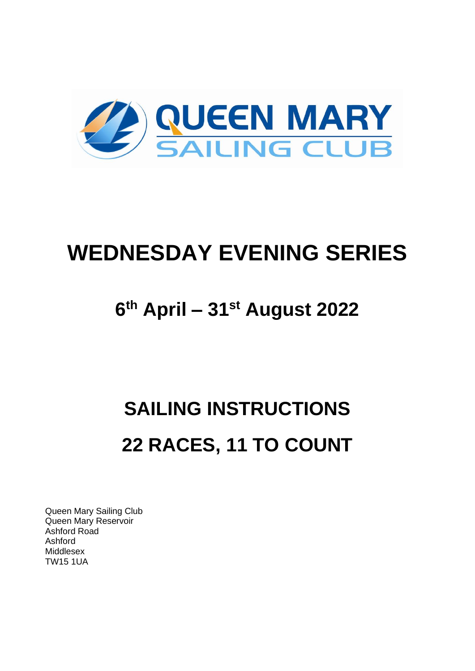

## **WEDNESDAY EVENING SERIES**

## **6 th April – 31st August 2022**

# **SAILING INSTRUCTIONS 22 RACES, 11 TO COUNT**

Queen Mary Sailing Club Queen Mary Reservoir Ashford Road Ashford Middlesex TW15 1UA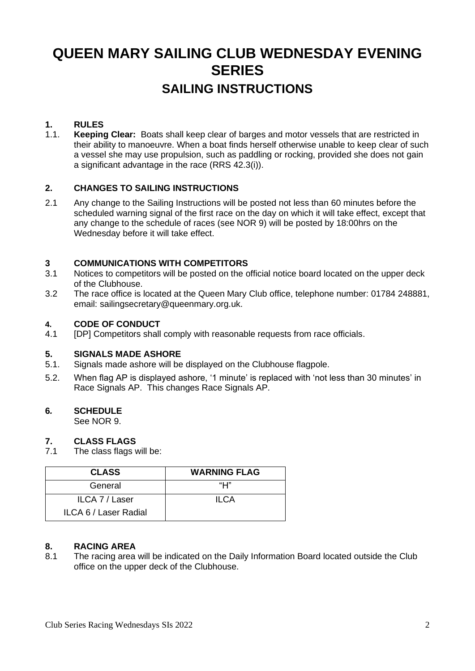### **QUEEN MARY SAILING CLUB WEDNESDAY EVENING SERIES SAILING INSTRUCTIONS**

#### **1. RULES**

1.1. **Keeping Clear:** Boats shall keep clear of barges and motor vessels that are restricted in their ability to manoeuvre. When a boat finds herself otherwise unable to keep clear of such a vessel she may use propulsion, such as paddling or rocking, provided she does not gain a significant advantage in the race (RRS 42.3(i)).

#### **2. CHANGES TO SAILING INSTRUCTIONS**

2.1 Any change to the Sailing Instructions will be posted not less than 60 minutes before the scheduled warning signal of the first race on the day on which it will take effect, except that any change to the schedule of races (see NOR 9) will be posted by 18:00hrs on the Wednesday before it will take effect.

#### **3 COMMUNICATIONS WITH COMPETITORS**

- 3.1 Notices to competitors will be posted on the official notice board located on the upper deck of the Clubhouse.
- 3.2 The race office is located at the Queen Mary Club office, telephone number: 01784 248881, email: sailingsecretary@queenmary.org.uk.

#### **4. CODE OF CONDUCT**

4.1 [DP] Competitors shall comply with reasonable requests from race officials.

#### **5. SIGNALS MADE ASHORE**

- 5.1. Signals made ashore will be displayed on the Clubhouse flagpole.
- 5.2. When flag AP is displayed ashore, '1 minute' is replaced with 'not less than 30 minutes' in Race Signals AP. This changes Race Signals AP.

#### **6***.* **SCHEDULE**

See NOR 9.

#### **7. CLASS FLAGS**

7.1 The class flags will be:

| <b>CLASS</b>          | <b>WARNING FLAG</b> |
|-----------------------|---------------------|
| General               | "Н"                 |
| ILCA 7 / Laser        | <b>ILCA</b>         |
| ILCA 6 / Laser Radial |                     |

#### **8. RACING AREA**

8.1 The racing area will be indicated on the Daily Information Board located outside the Club office on the upper deck of the Clubhouse.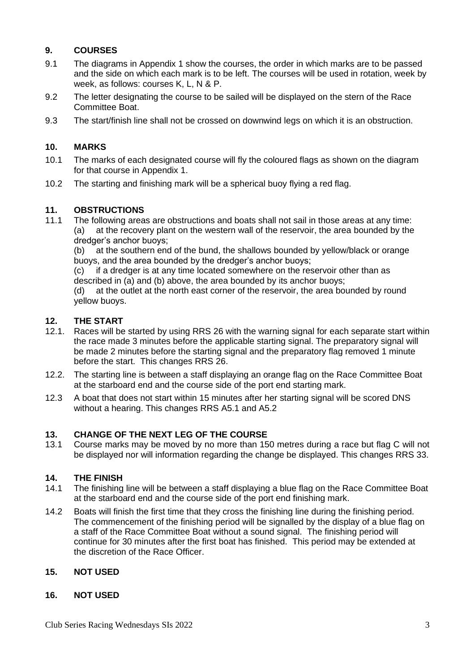#### **9. COURSES**

- 9.1 The diagrams in Appendix 1 show the courses, the order in which marks are to be passed and the side on which each mark is to be left. The courses will be used in rotation, week by week, as follows: courses K, L, N & P.
- 9.2 The letter designating the course to be sailed will be displayed on the stern of the Race Committee Boat.
- 9.3 The start/finish line shall not be crossed on downwind legs on which it is an obstruction.

#### **10. MARKS**

- 10.1 The marks of each designated course will fly the coloured flags as shown on the diagram for that course in Appendix 1.
- 10.2 The starting and finishing mark will be a spherical buoy flying a red flag.

#### **11. OBSTRUCTIONS**

11.1 The following areas are obstructions and boats shall not sail in those areas at any time: (a) at the recovery plant on the western wall of the reservoir, the area bounded by the dredger's anchor buoys;

(b) at the southern end of the bund, the shallows bounded by yellow/black or orange buoys, and the area bounded by the dredger's anchor buoys;

(c) if a dredger is at any time located somewhere on the reservoir other than as described in (a) and (b) above, the area bounded by its anchor buoys;

(d) at the outlet at the north east corner of the reservoir, the area bounded by round yellow buoys.

## **12. THE START**

- Races will be started by using RRS 26 with the warning signal for each separate start within the race made 3 minutes before the applicable starting signal. The preparatory signal will be made 2 minutes before the starting signal and the preparatory flag removed 1 minute before the start. This changes RRS 26.
- 12.2. The starting line is between a staff displaying an orange flag on the Race Committee Boat at the starboard end and the course side of the port end starting mark.
- 12.3 A boat that does not start within 15 minutes after her starting signal will be scored DNS without a hearing. This changes RRS A5.1 and A5.2

#### **13. CHANGE OF THE NEXT LEG OF THE COURSE**

13.1 Course marks may be moved by no more than 150 metres during a race but flag C will not be displayed nor will information regarding the change be displayed. This changes RRS 33.

#### **14. THE FINISH**

- 14.1 The finishing line will be between a staff displaying a blue flag on the Race Committee Boat at the starboard end and the course side of the port end finishing mark.
- 14.2 Boats will finish the first time that they cross the finishing line during the finishing period. The commencement of the finishing period will be signalled by the display of a blue flag on a staff of the Race Committee Boat without a sound signal. The finishing period will continue for 30 minutes after the first boat has finished. This period may be extended at the discretion of the Race Officer.

#### **15. NOT USED**

#### **16. NOT USED**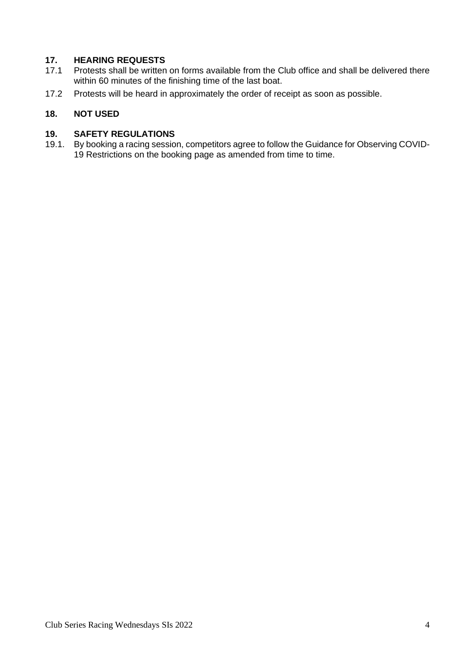## **17. HEARING REQUESTS**

- Protests shall be written on forms available from the Club office and shall be delivered there within 60 minutes of the finishing time of the last boat.
- 17.2 Protests will be heard in approximately the order of receipt as soon as possible.

#### **18. NOT USED**

#### **19. SAFETY REGULATIONS**

19.1. By booking a racing session, competitors agree to follow the Guidance for Observing COVID-19 Restrictions on the booking page as amended from time to time.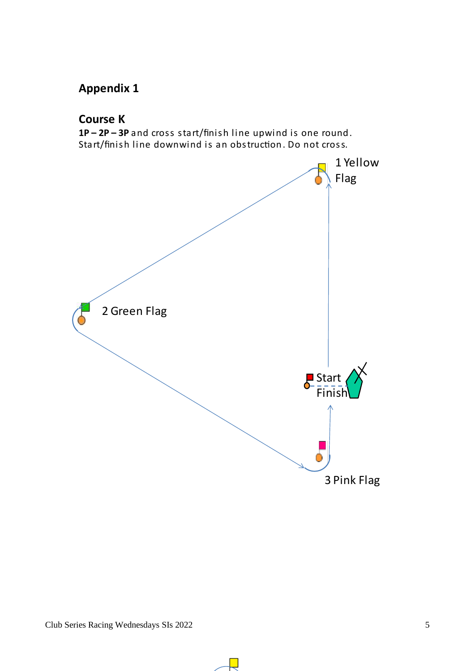### **Appendix 1**

#### **Course K**

1P-2P-3P and cross start/finish line upwind is one round. Start/finish line downwind is an obstruction. Do not cross.

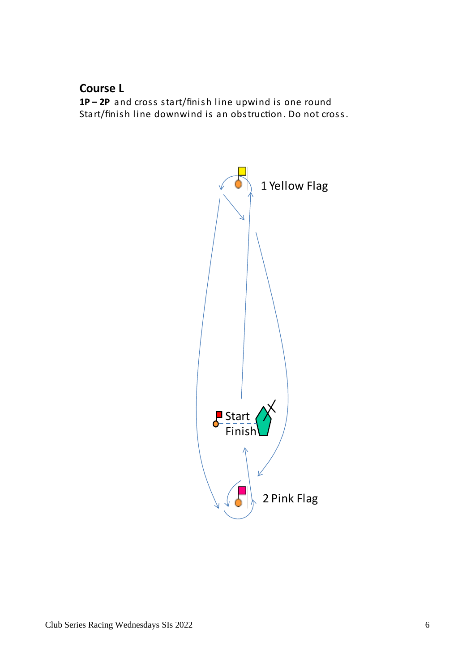#### **Course L**

1P-2P and cross start/finish line upwind is one round Start/finish line downwind is an obstruction. Do not cross.

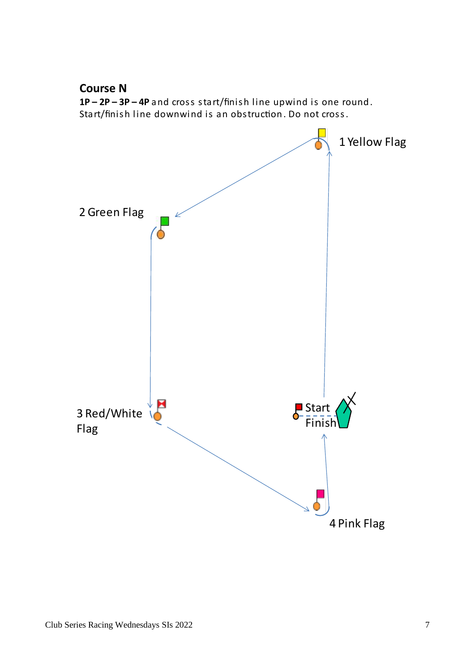

 $1P - 2P - 3P - 4P$  and cross start/finish line upwind is one round. Start/finish line downwind is an obstruction. Do not cross.